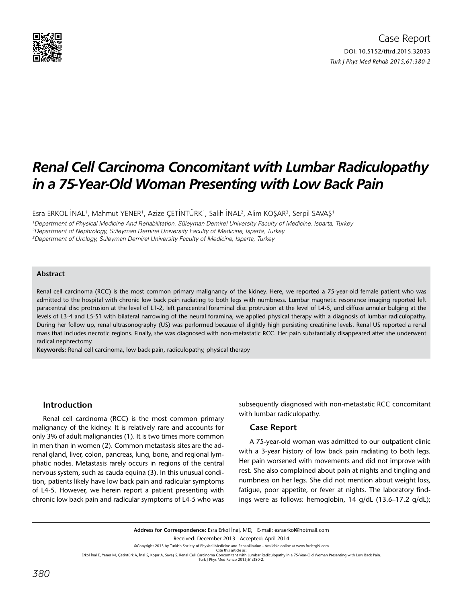

# *Renal Cell Carcinoma Concomitant with Lumbar Radiculopathy in a 75-Year-Old Woman Presenting with Low Back Pain*

Esra ERKOL İNAL<sup>1</sup>, Mahmut YENER<sup>1</sup>, Azize ÇETİNTÜRK<sup>1</sup>, Salih İNAL<sup>2</sup>, Alim KOŞAR<sup>3</sup>, Serpil SAVAŞ<sup>1</sup>

1 Department of Physical Medicine And Rehabilitation, Süleyman Demirel University Faculty of Medicine, Isparta, Turkey 2 Department of Nephrology, Süleyman Demirel University Faculty of Medicine, Isparta, Turkey 3 Department of Urology, Süleyman Demirel University Faculty of Medicine, Isparta, Turkey

#### **Abstract**

Renal cell carcinoma (RCC) is the most common primary malignancy of the kidney. Here, we reported a 75-year-old female patient who was admitted to the hospital with chronic low back pain radiating to both legs with numbness. Lumbar magnetic resonance imaging reported left paracentral disc protrusion at the level of L1-2, left paracentral foraminal disc protrusion at the level of L4-5, and diffuse annular bulging at the levels of L3-4 and L5-S1 with bilateral narrowing of the neural foramina, we applied physical therapy with a diagnosis of lumbar radiculopathy. During her follow up, renal ultrasonography (US) was performed because of slightly high persisting creatinine levels. Renal US reported a renal mass that includes necrotic regions. Finally, she was diagnosed with non-metastatic RCC. Her pain substantially disappeared after she underwent radical nephrectomy.

**Keywords:** Renal cell carcinoma, low back pain, radiculopathy, physical therapy

#### **Introduction**

Renal cell carcinoma (RCC) is the most common primary malignancy of the kidney. It is relatively rare and accounts for only 3% of adult malignancies (1). It is two times more common in men than in women (2). Common metastasis sites are the adrenal gland, liver, colon, pancreas, lung, bone, and regional lymphatic nodes. Metastasis rarely occurs in regions of the central nervous system, such as cauda equina (3). In this unusual condition, patients likely have low back pain and radicular symptoms of L4-5. However, we herein report a patient presenting with chronic low back pain and radicular symptoms of L4-5 who was

subsequently diagnosed with non-metastatic RCC concomitant with lumbar radiculopathy.

### **Case Report**

A 75-year-old woman was admitted to our outpatient clinic with a 3-year history of low back pain radiating to both legs. Her pain worsened with movements and did not improve with rest. She also complained about pain at nights and tingling and numbness on her legs. She did not mention about weight loss, fatigue, poor appetite, or fever at nights. The laboratory findings were as follows: hemoglobin, 14 g/dL (13.6–17.2 g/dL);

**Address for Correspondence:** Esra Erkol İnal, MD, E-mail: esraerkol@hotmail.com

Received: December 2013 Accepted: April 2014

©Copyright 2015 by Turkish Society of Physical Medicine and Rehabilitation - Available online at www.ftrdergisi.com

Cite this article as:<br>Erkol Inal E, Yener M, Çetintürk A, İnal S, Koşar A, Savaş S. Renal Cell Carcinoma Concomitant with Lumbar Radiculopathy in a 75-Year-Old Woman Presenting with Low Back Pain.<br>Turk J Phys Med Rehab 201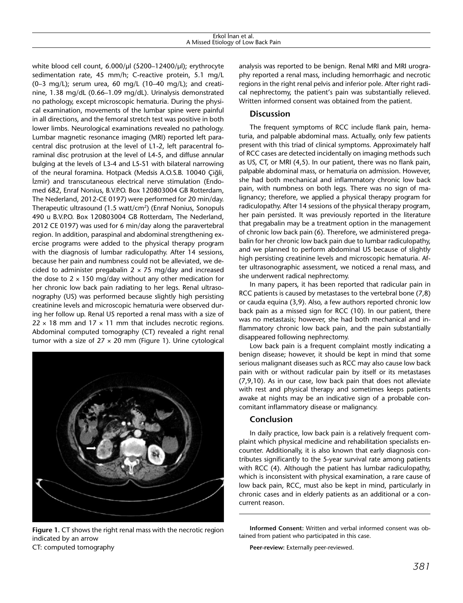white blood cell count, 6.000/µl (5200–12400/µl); erythrocyte sedimentation rate, 45 mm/h; C-reactive protein, 5.1 mg/L  $(0-3 \text{ mg/L})$ ; serum urea, 60 mg/L  $(10-40 \text{ mg/L})$ ; and creatinine, 1.38 mg/dL (0.66–1.09 mg/dL). Urinalysis demonstrated no pathology, except microscopic hematuria. During the physical examination, movements of the lumbar spine were painful in all directions, and the femoral stretch test was positive in both lower limbs. Neurological examinations revealed no pathology. Lumbar magnetic resonance imaging (MRI) reported left paracentral disc protrusion at the level of L1-2, left paracentral foraminal disc protrusion at the level of L4-5, and diffuse annular bulging at the levels of L3-4 and L5-S1 with bilateral narrowing of the neural foramina. Hotpack (Medsis A.O.S.B. 10040 Çiğli, İzmir) and transcutaneous electrical nerve stimulation (Endomed 682, Enraf Nonius, B.V.P.O. Box 120803004 GB Rotterdam, The Nederland, 2012-CE 0197) were performed for 20 min/day. Therapeutic ultrasound (1.5 watt/cm<sup>2</sup>) (Enraf Nonius, Sonopuls 490 u B.V.P.O. Box 120803004 GB Rotterdam, The Nederland, 2012 CE 0197) was used for 6 min/day along the paravertebral region. In addition, paraspinal and abdominal strengthening exercise programs were added to the physical therapy program with the diagnosis of lumbar radiculopathy. After 14 sessions, because her pain and numbness could not be alleviated, we decided to administer pregabalin  $2 \times 75$  mg/day and increased the dose to  $2 \times 150$  mg/day without any other medication for her chronic low back pain radiating to her legs. Renal ultrasonography (US) was performed because slightly high persisting creatinine levels and microscopic hematuria were observed during her follow up. Renal US reported a renal mass with a size of  $22 \times 18$  mm and  $17 \times 11$  mm that includes necrotic regions. Abdominal computed tomography (CT) revealed a right renal tumor with a size of  $27 \times 20$  mm (Figure 1). Urine cytological



**Figure 1.** CT shows the right renal mass with the necrotic region indicated by an arrow CT: computed tomography

analysis was reported to be benign. Renal MRI and MRI urography reported a renal mass, including hemorrhagic and necrotic regions in the right renal pelvis and inferior pole. After right radical nephrectomy, the patient's pain was substantially relieved. Written informed consent was obtained from the patient.

## **Discussion**

The frequent symptoms of RCC include flank pain, hematuria, and palpable abdominal mass. Actually, only few patients present with this triad of clinical symptoms. Approximately half of RCC cases are detected incidentally on imaging methods such as US, CT, or MRI (4,5). In our patient, there was no flank pain, palpable abdominal mass, or hematuria on admission. However, she had both mechanical and inflammatory chronic low back pain, with numbness on both legs. There was no sign of malignancy; therefore, we applied a physical therapy program for radiculopathy. After 14 sessions of the physical therapy program, her pain persisted. It was previously reported in the literature that pregabalin may be a treatment option in the management of chronic low back pain (6). Therefore, we administered pregabalin for her chronic low back pain due to lumbar radiculopathy, and we planned to perform abdominal US because of slightly high persisting creatinine levels and microscopic hematuria. After ultrasonographic assessment, we noticed a renal mass, and she underwent radical nephrectomy.

In many papers, it has been reported that radicular pain in RCC patients is caused by metastases to the vertebral bone (7,8) or cauda equina (3,9). Also, a few authors reported chronic low back pain as a missed sign for RCC (10). In our patient, there was no metastasis; however, she had both mechanical and inflammatory chronic low back pain, and the pain substantially disappeared following nephrectomy.

Low back pain is a frequent complaint mostly indicating a benign disease; however, it should be kept in mind that some serious malignant diseases such as RCC may also cause low back pain with or without radicular pain by itself or its metastases (7,9,10). As in our case, low back pain that does not alleviate with rest and physical therapy and sometimes keeps patients awake at nights may be an indicative sign of a probable concomitant inflammatory disease or malignancy.

#### **Conclusion**

In daily practice, low back pain is a relatively frequent complaint which physical medicine and rehabilitation specialists encounter. Additionally, it is also known that early diagnosis contributes significantly to the 5-year survival rate among patients with RCC (4). Although the patient has lumbar radiculopathy, which is inconsistent with physical examination, a rare cause of low back pain, RCC, must also be kept in mind, particularly in chronic cases and in elderly patients as an additional or a concurrent reason.

**Informed Consent:** Written and verbal informed consent was obtained from patient who participated in this case.

**Peer-review:** Externally peer-reviewed.